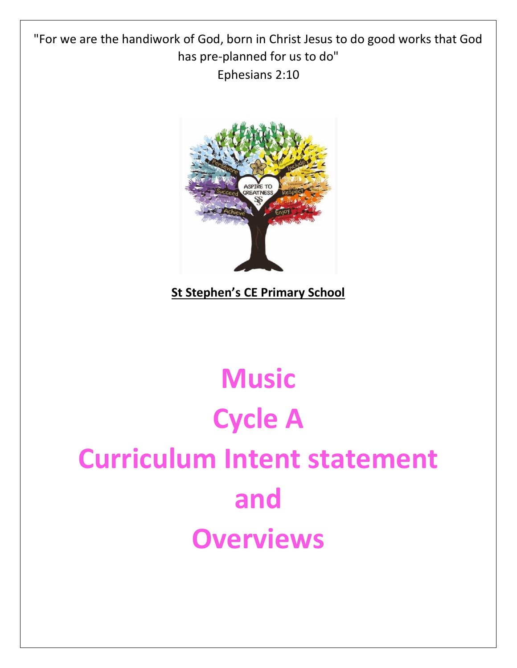"For we are the handiwork of God, born in Christ Jesus to do good works that God has pre-planned for us to do" Ephesians 2:10



**St Stephen's CE Primary School**

## **Music Cycle A Curriculum Intent statement and Overviews**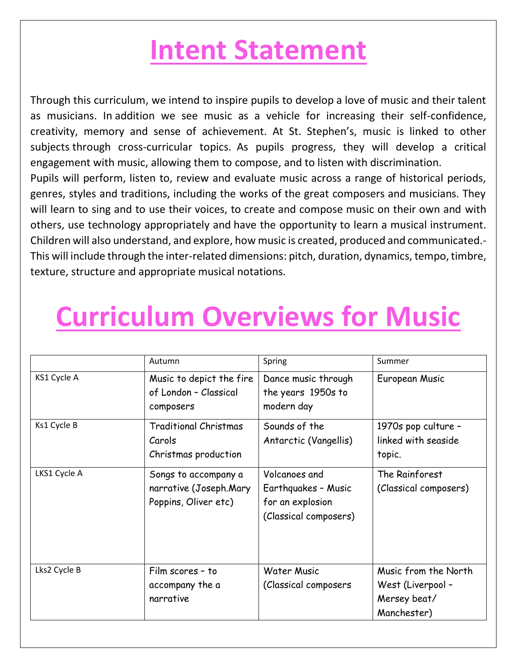## **Intent Statement**

Through this curriculum, we intend to inspire pupils to develop a love of music and their talent as musicians. In addition we see music as a vehicle for increasing their self-confidence, creativity, memory and sense of achievement. At St. Stephen's, music is linked to other subjects through cross-curricular topics. As pupils progress, they will develop a critical engagement with music, allowing them to compose, and to listen with discrimination. Pupils will perform, listen to, review and evaluate music across a range of historical periods, genres, styles and traditions, including the works of the great composers and musicians. They will learn to sing and to use their voices, to create and compose music on their own and with others, use technology appropriately and have the opportunity to learn a musical instrument. Children will also understand, and explore, how music is created, produced and communicated.- This will include through the inter-related dimensions: pitch, duration, dynamics, tempo, timbre, texture, structure and appropriate musical notations. 

## **Curriculum Overviews for Music**

|              | Autumn                                                                 | Spring                                                                            | Summer                                                                   |
|--------------|------------------------------------------------------------------------|-----------------------------------------------------------------------------------|--------------------------------------------------------------------------|
| KS1 Cycle A  | Music to depict the fire<br>of London - Classical<br>composers         | Dance music through<br>the years 1950s to<br>modern day                           | European Music                                                           |
| Ks1 Cycle B  | <b>Traditional Christmas</b><br>Carols<br>Christmas production         | Sounds of the<br>Antarctic (Vangellis)                                            | 1970s pop culture -<br>linked with seaside<br>topic.                     |
| LKS1 Cycle A | Songs to accompany a<br>narrative (Joseph.Mary<br>Poppins, Oliver etc) | Volcanoes and<br>Earthquakes - Music<br>for an explosion<br>(Classical composers) | The Rainforest<br>(Classical composers)                                  |
| Lks2 Cycle B | Film scores - to<br>accompany the a<br>narrative                       | <b>Water Music</b><br>(Classical composers                                        | Music from the North<br>West (Liverpool -<br>Mersey beat/<br>Manchester) |